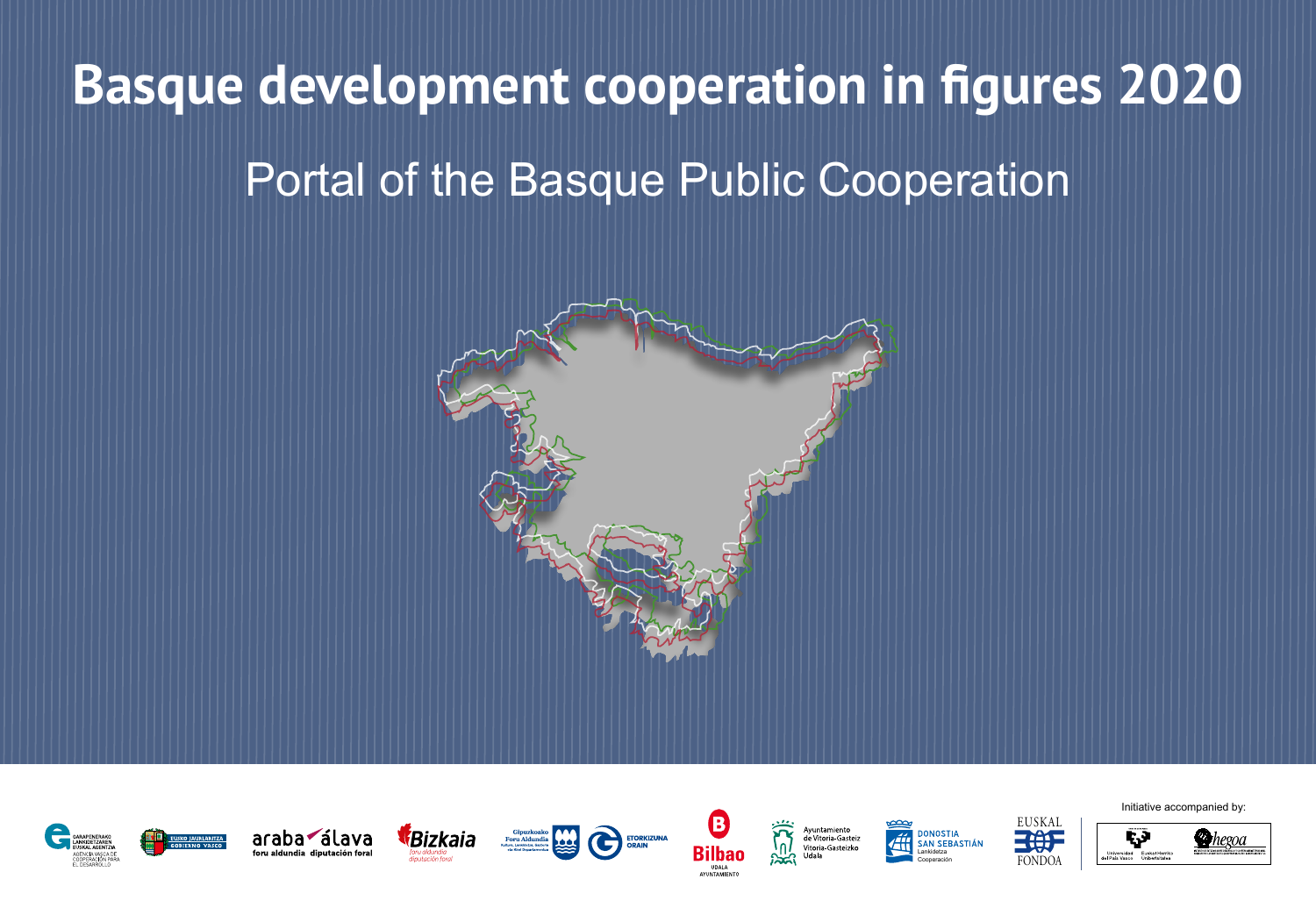# **Basque development cooperation in figures 2020** Portal of the Basque Public Cooperation





Initiative accompanied by:

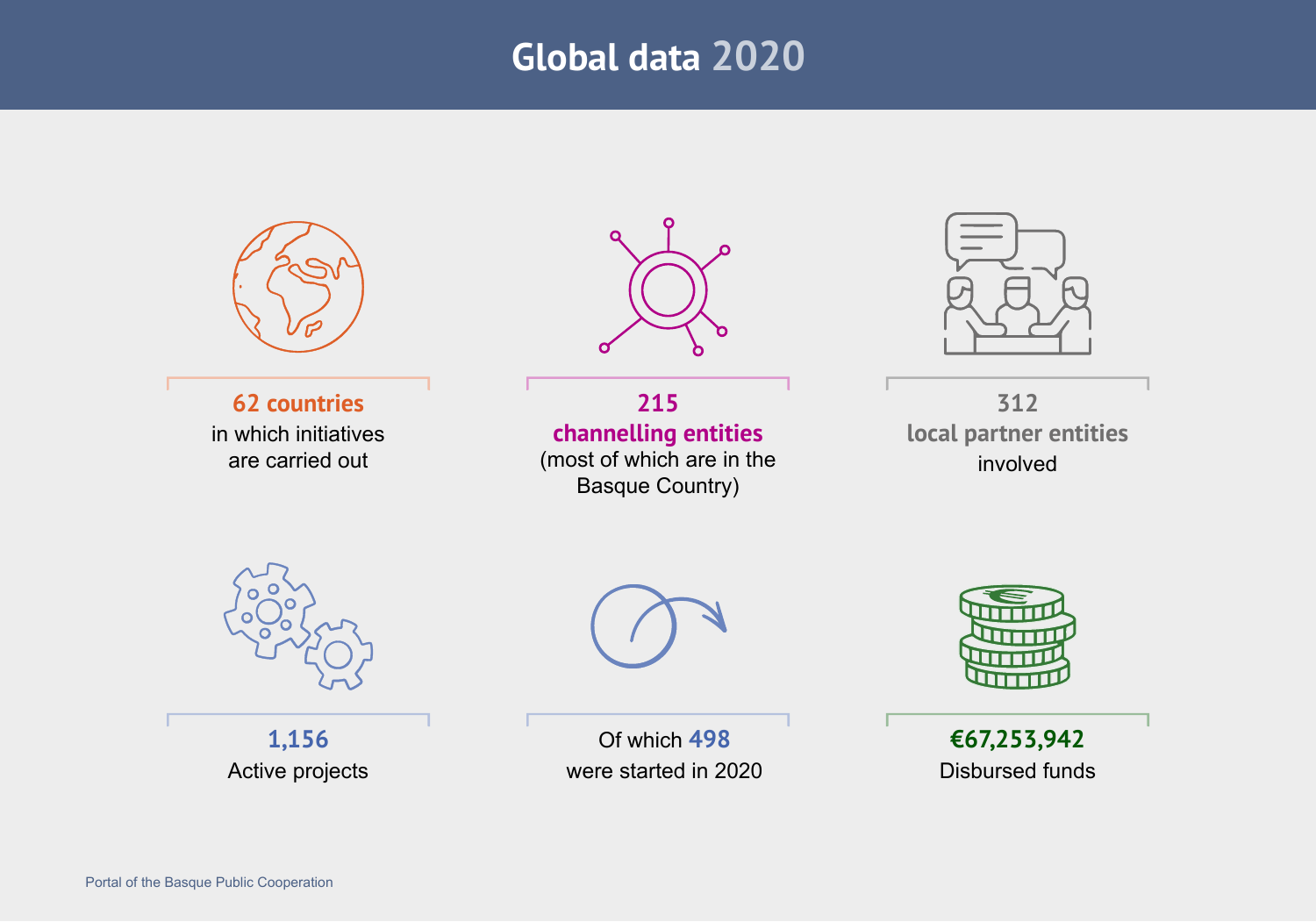# **Global data 2020**



**62 countries** in which initiatives are carried out



**215 channelling entities** (most of which are in the Basque Country)



**312 local partner entities**  involved



**1,156** Active projects



Of which **498** were started in 2020



**€67,253,942** Disbursed funds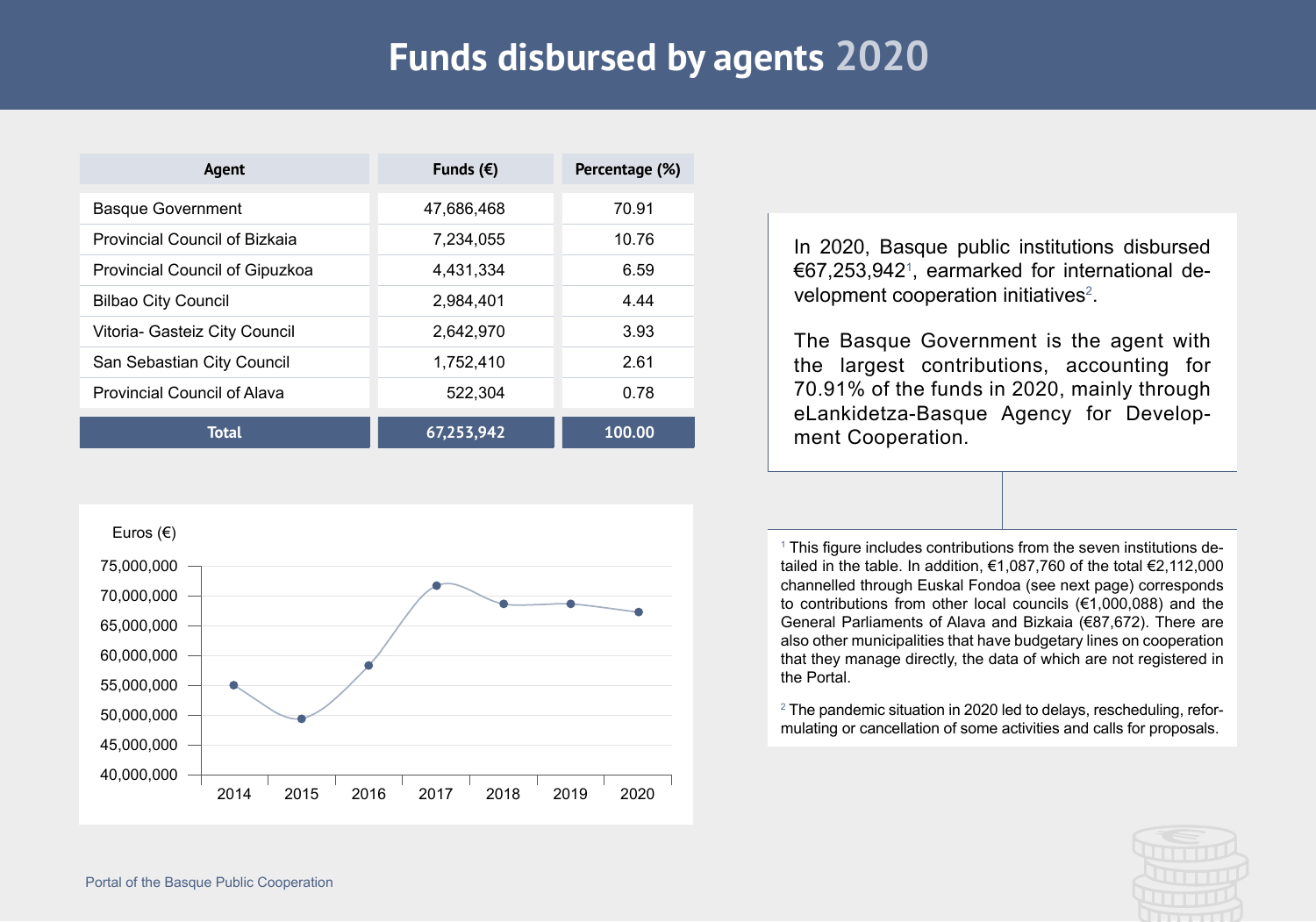# **Funds disbursed by agents 2020**

| Agent                              | Funds $(\epsilon)$ | Percentage (%) |  |
|------------------------------------|--------------------|----------------|--|
| <b>Basque Government</b>           | 47,686,468         | 70.91          |  |
| Provincial Council of Bizkaia      | 7,234,055          | 10.76          |  |
| Provincial Council of Gipuzkoa     | 4,431,334          | 6.59           |  |
| <b>Bilbao City Council</b>         | 2,984,401          | 4.44           |  |
| Vitoria- Gasteiz City Council      | 2,642,970          | 3.93           |  |
| San Sebastian City Council         | 1,752,410          | 2.61           |  |
| <b>Provincial Council of Alava</b> | 522,304            | 0.78           |  |
| <b>Total</b>                       | 67,253,942         | 100.00         |  |



In 2020, Basque public institutions disbursed €67,253,9421 , earmarked for international development cooperation initiatives<sup>2</sup>.

The Basque Government is the agent with the largest contributions, accounting for 70.91% of the funds in 2020, mainly through eLankidetza-Basque Agency for Development Cooperation.

<sup>1</sup> This figure includes contributions from the seven institutions detailed in the table. In addition,  $\epsilon$ 1,087,760 of the total  $\epsilon$ 2,112,000 channelled through Euskal Fondoa (see next page) corresponds to contributions from other local councils (€1,000,088) and the General Parliaments of Alava and Bizkaia (€87,672). There are also other municipalities that have budgetary lines on cooperation that they manage directly, the data of which are not registered in the Portal.

 $2$  The pandemic situation in 2020 led to delays, rescheduling, reformulating or cancellation of some activities and calls for proposals.

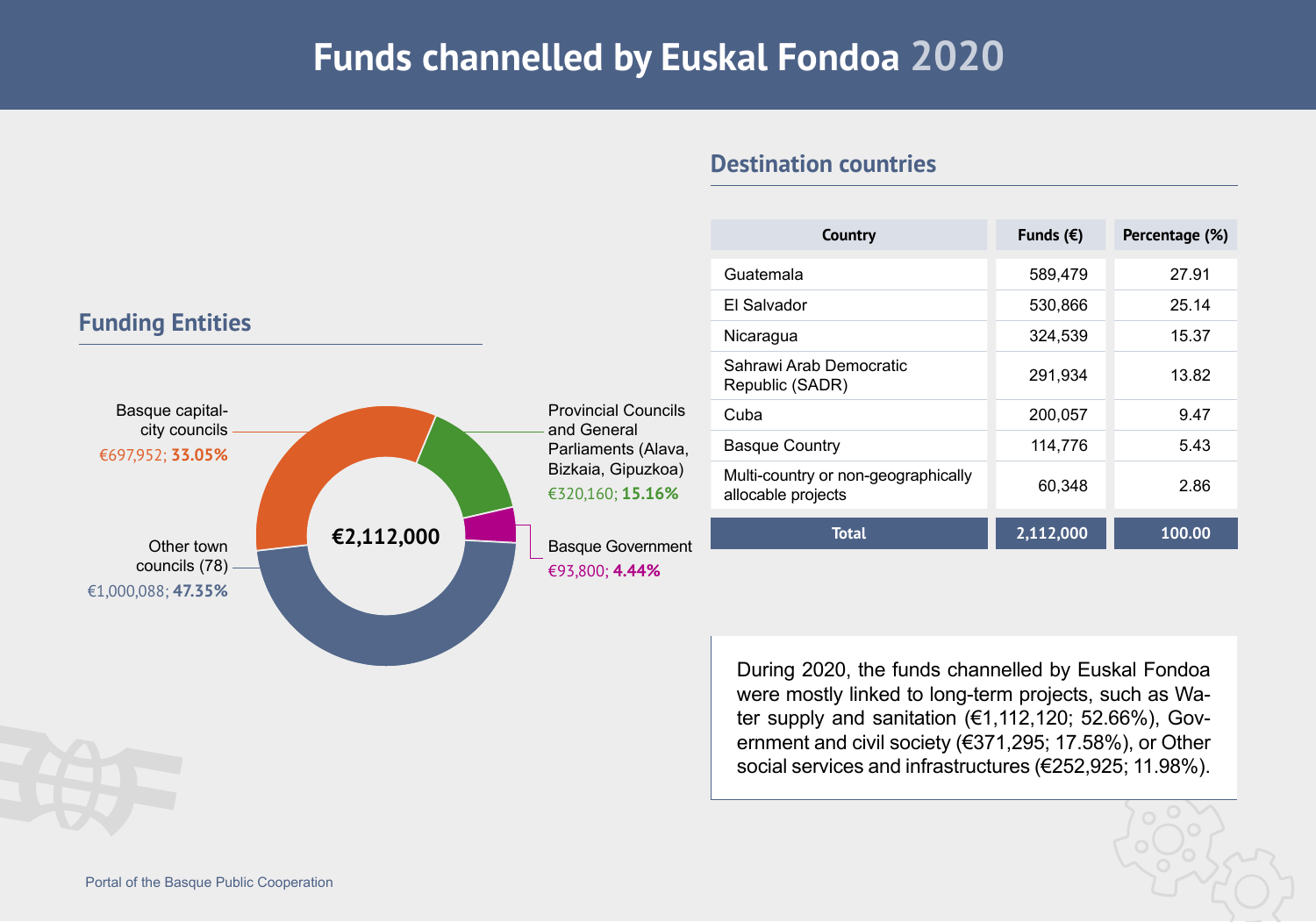### **Funds channelled by Euskal Fondoa 2020**

| Country                                                   | Funds $(\epsilon)$ | Percentage (%) |  |
|-----------------------------------------------------------|--------------------|----------------|--|
| Guatemala                                                 | 589,479            | 27.91          |  |
| El Salvador                                               | 530,866            | 25.14          |  |
| Nicaragua                                                 | 324,539            | 15.37          |  |
| Sahrawi Arab Democratic<br>Republic (SADR)                | 291,934            | 13.82          |  |
| Cuba                                                      | 200,057            | 9.47           |  |
| <b>Basque Country</b>                                     | 114,776            | 5.43           |  |
| Multi-country or non-geographically<br>allocable projects | 60,348             | 2.86           |  |
| <b>Total</b>                                              | 2,112,000          | 100.00         |  |

#### **Destination countries**

During 2020, the funds channelled by Euskal Fondoa were mostly linked to long-term projects, such as Water supply and sanitation  $(€1,112,120; 52.66%), Gov$ ernment and civil society (€371,295; 17.58%), or Other social services and infrastructures (€252,925; 11.98%).

#### **Funding Entities**



[Portal of the Basque Public Cooperation](https://euskalankidetza.hegoa.ehu.eus)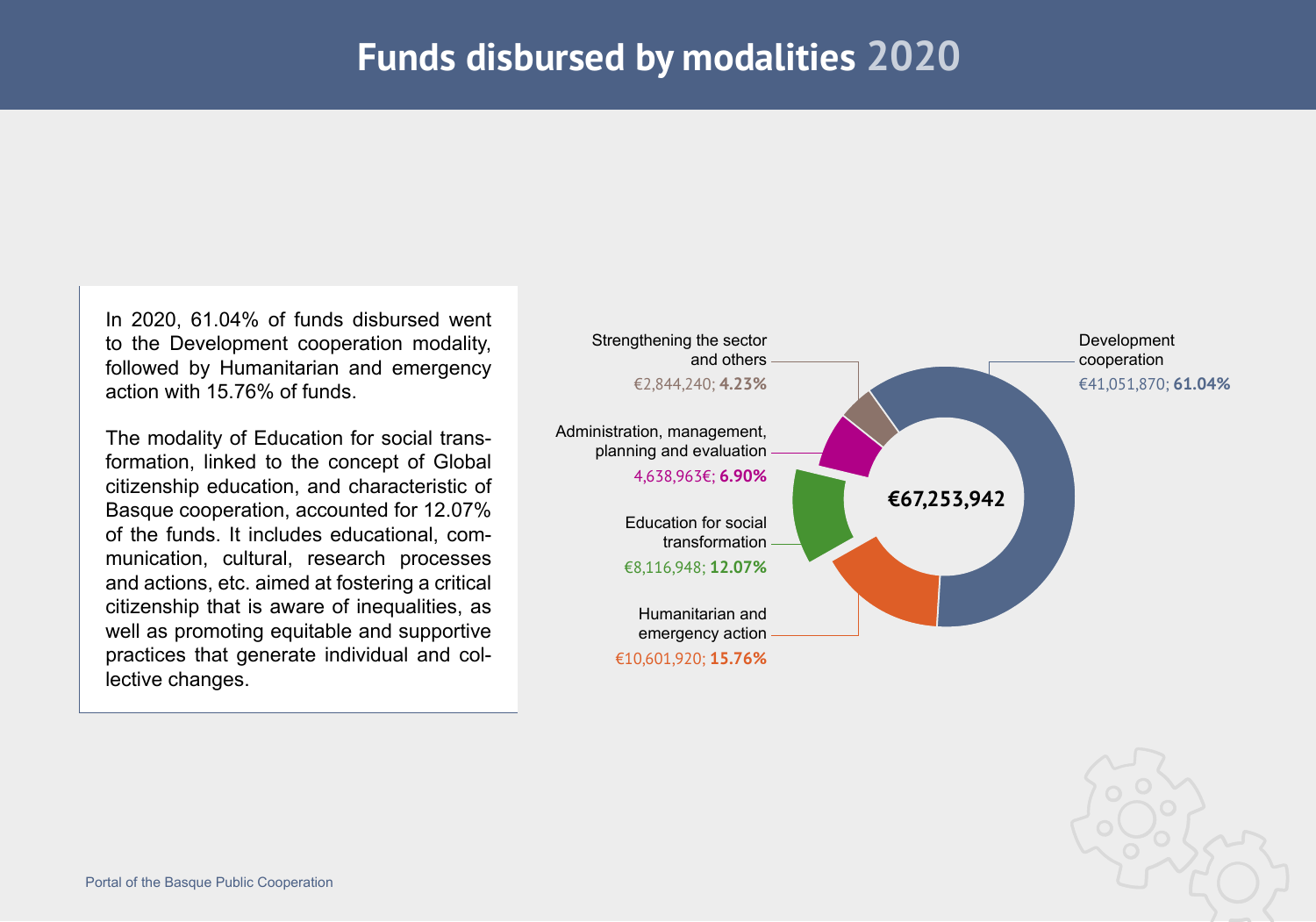In 2020, 61.04% of funds disbursed went to the Development cooperation modality, followed by Humanitarian and emergency action with 15.76% of funds.

The modality of Education for social transformation, linked to the concept of Global citizenship education, and characteristic of Basque cooperation, accounted for 12.07% of the funds. It includes educational, communication, cultural, research processes and actions, etc. aimed at fostering a critical citizenship that is aware of inequalities, as well as promoting equitable and supportive practices that generate individual and collective changes.

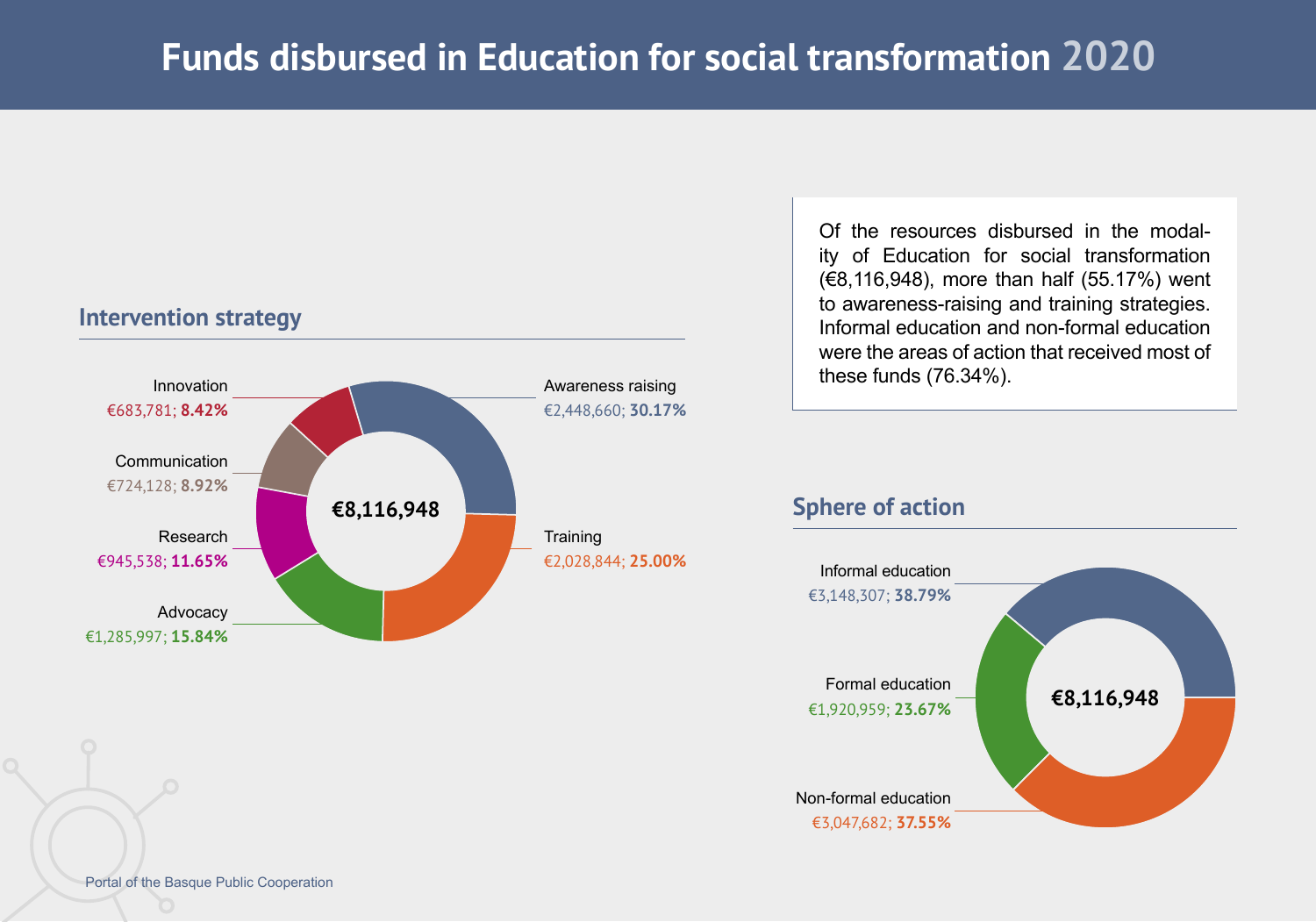#### **Intervention strategy**



Of the resources disbursed in the modality of Education for social transformation (€8,116,948), more than half (55.17%) went to awareness-raising and training strategies. Informal education and non-formal education were the areas of action that received most of these funds (76.34%).

#### **Sphere of action**

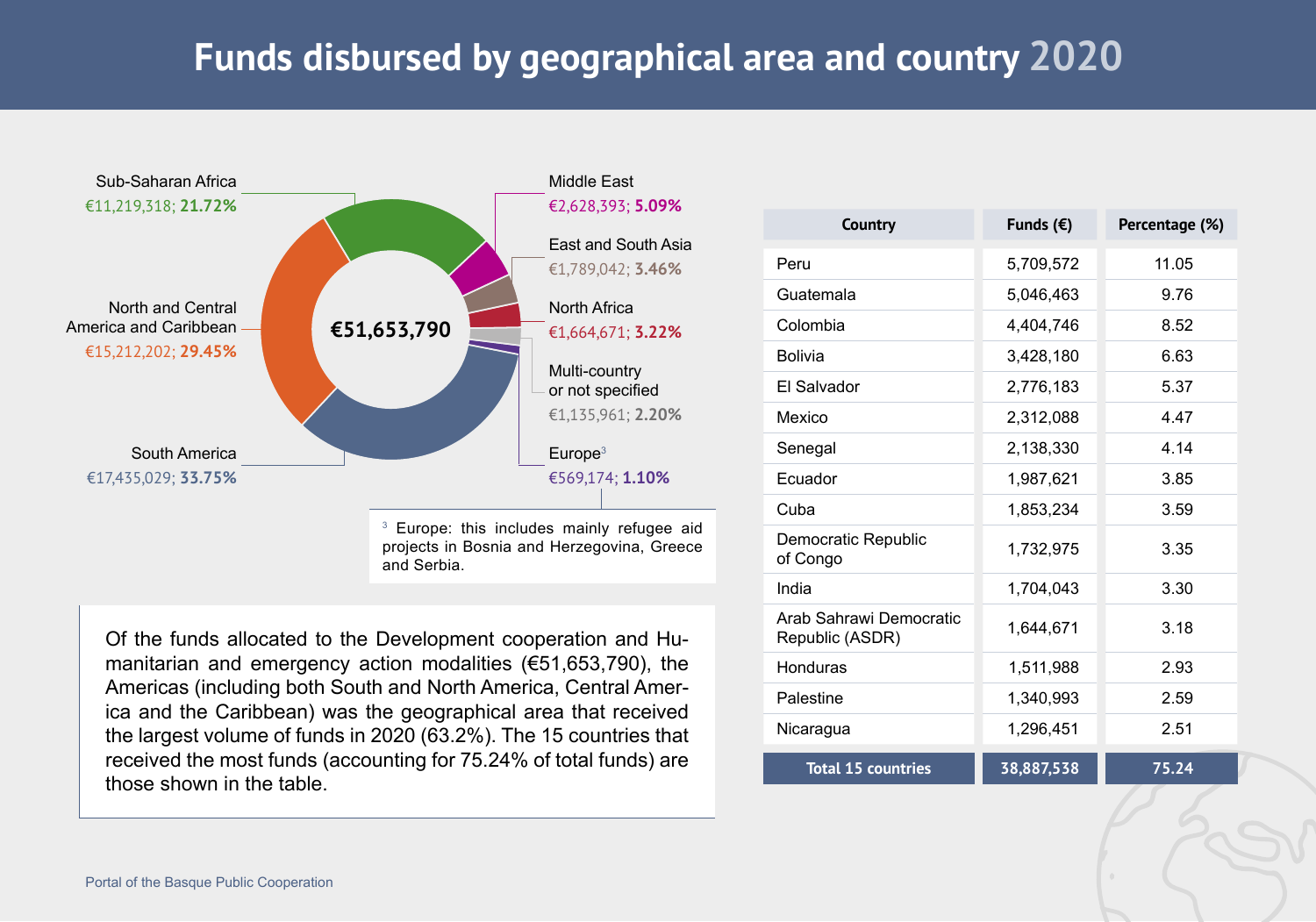# **Funds disbursed by geographical area and country 2020**



and Serbia.

Of the funds allocated to the Development cooperation and Humanitarian and emergency action modalities (€51,653,790), the Americas (including both South and North America, Central America and the Caribbean) was the geographical area that received the largest volume of funds in 2020 (63.2%). The 15 countries that received the most funds (accounting for 75.24% of total funds) are those shown in the table.

| <b>Country</b>                             | Funds $(\epsilon)$ | Percentage (%) |
|--------------------------------------------|--------------------|----------------|
| Peru                                       | 5,709,572          | 11.05          |
| Guatemala                                  | 5,046,463          | 9.76           |
| Colombia                                   | 4,404,746          | 8.52           |
| <b>Bolivia</b>                             | 3,428,180          | 6.63           |
| El Salvador                                | 2,776,183          | 5.37           |
| Mexico                                     | 2,312,088          | 4.47           |
| Senegal                                    | 2,138,330          | 4.14           |
| Ecuador                                    | 1,987,621          | 3.85           |
| Cuba                                       | 1,853,234          | 3.59           |
| Democratic Republic<br>of Congo            | 1,732,975          | 3.35           |
| India                                      | 1,704,043          | 3.30           |
| Arab Sahrawi Democratic<br>Republic (ASDR) | 1,644,671          | 3.18           |
| Honduras                                   | 1,511,988          | 2.93           |
| Palestine                                  | 1,340,993          | 2.59           |
| Nicaragua                                  | 1,296,451          | 2.51           |
| <b>Total 15 countries</b>                  | 38,887,538         | 75.24          |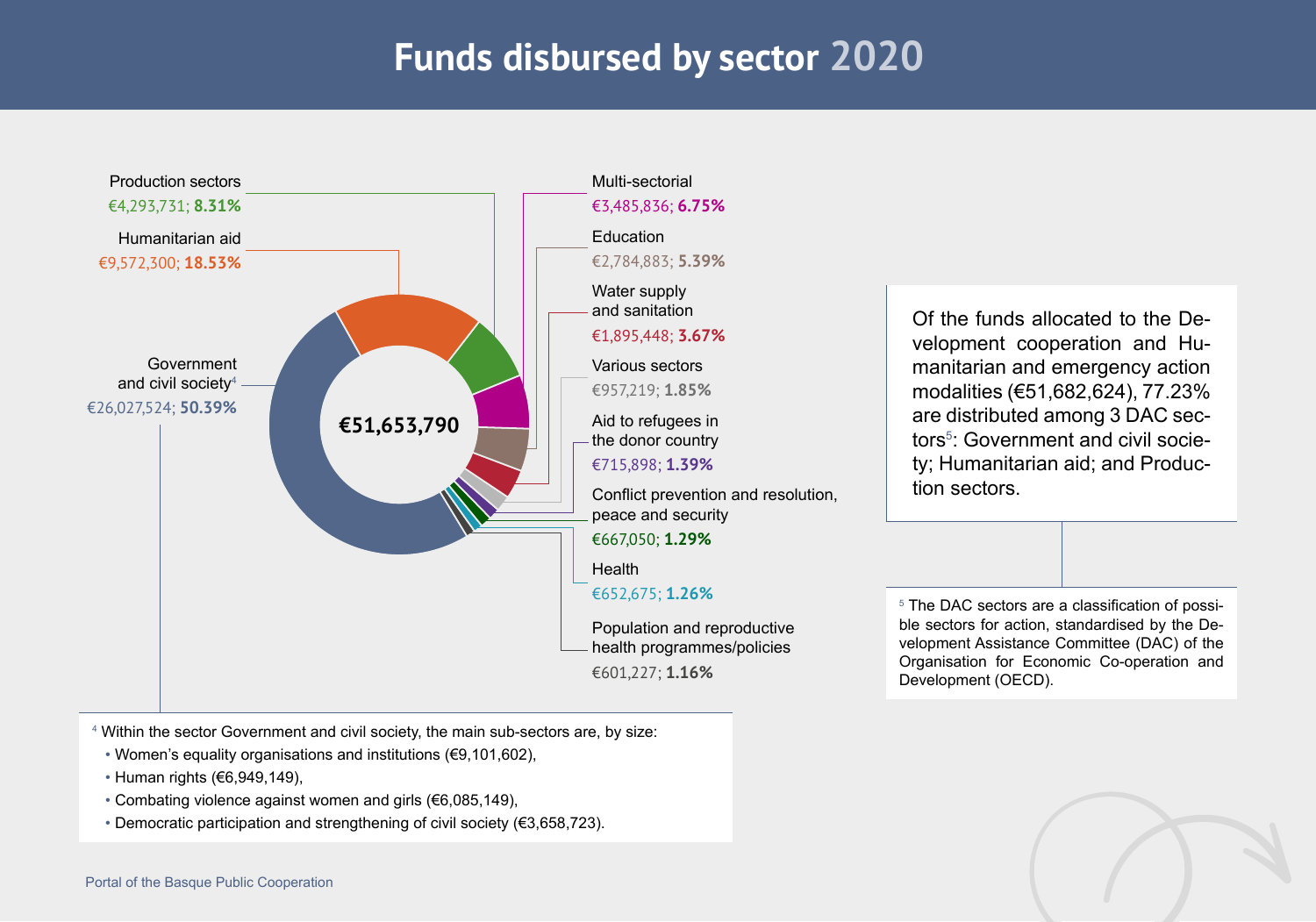# **Funds disbursed by sector 2020**



4 Within the sector Government and civil society, the main sub-sectors are, by size:

- Women's equality organisations and institutions (€9,101,602),
- Human rights (€6,949,149),
- Combating violence against women and girls (€6,085,149),
- Democratic participation and strengthening of civil society (€3,658,723).

Of the funds allocated to the Development cooperation and Humanitarian and emergency action modalities (€51,682,624), 77.23% are distributed among 3 DAC sectors<sup>5</sup>: Government and civil society; Humanitarian aid; and Production sectors.

5 The DAC sectors are a classification of possible sectors for action, standardised by the Development Assistance Committee (DAC) of the Organisation for Economic Co-operation and Development (OECD).

![](_page_7_Picture_9.jpeg)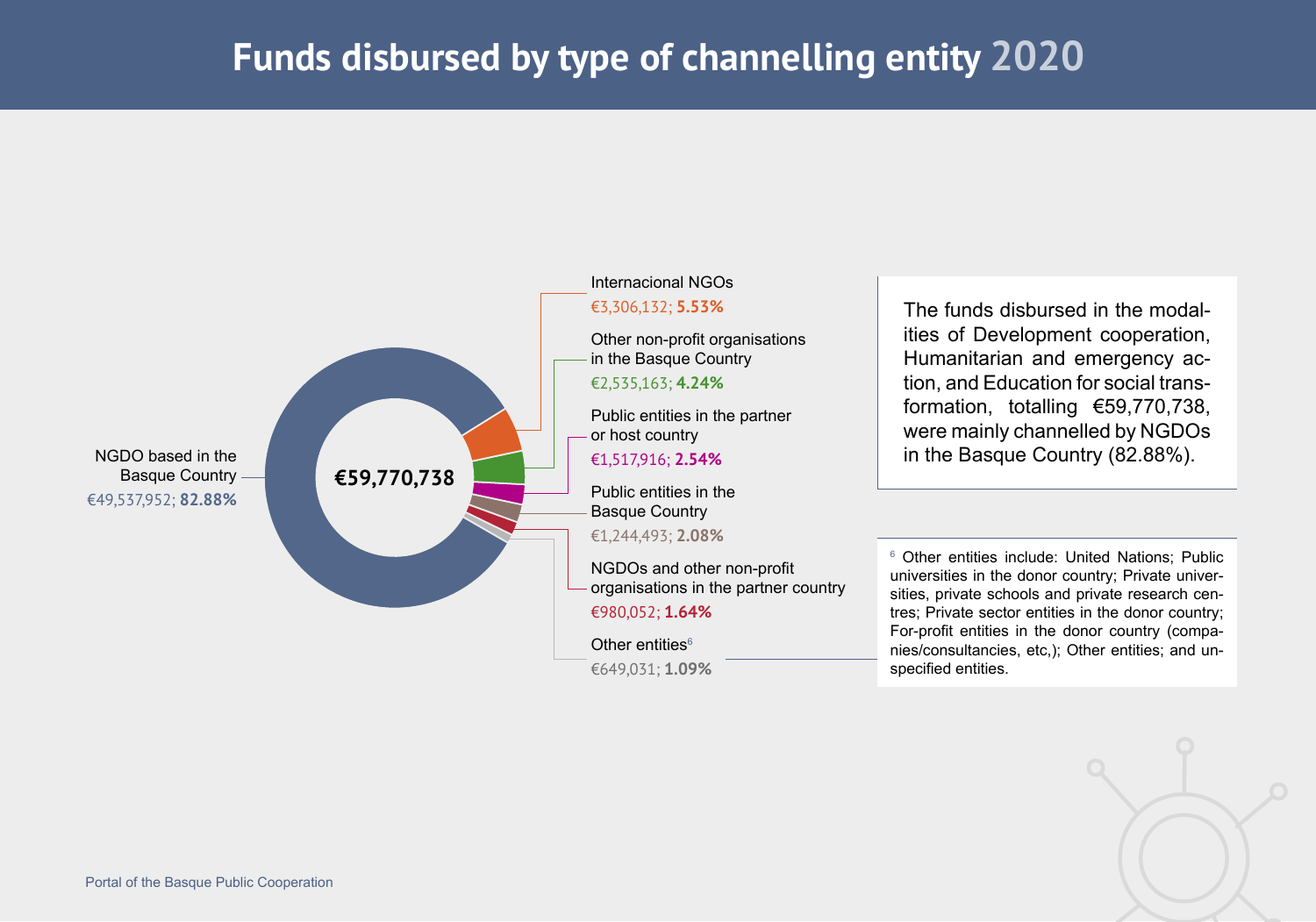# **Funds disbursed by type of channelling entity 2020**

![](_page_8_Figure_1.jpeg)

![](_page_8_Picture_2.jpeg)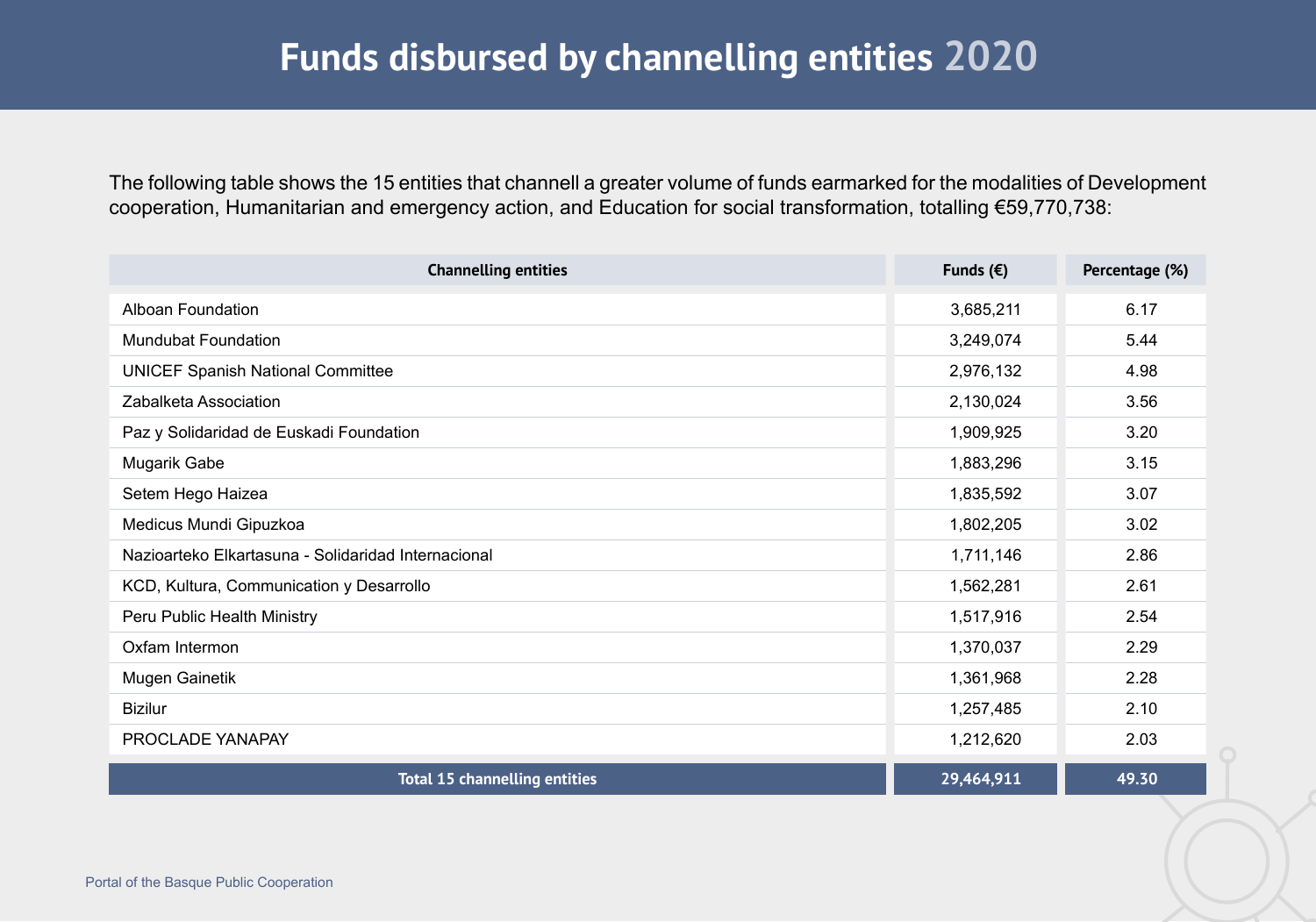## **Funds disbursed by channelling entities 2020**

The following table shows the 15 entities that channell a greater volume of funds earmarked for the modalities of Development cooperation, Humanitarian and emergency action, and Education for social transformation, totalling €59,770,738:

| <b>Channelling entities</b>                         | Funds $(\epsilon)$ | Percentage (%) |
|-----------------------------------------------------|--------------------|----------------|
| Alboan Foundation                                   | 3,685,211          | 6.17           |
| <b>Mundubat Foundation</b>                          | 3,249,074          | 5.44           |
| <b>UNICEF Spanish National Committee</b>            | 2,976,132          | 4.98           |
| Zabalketa Association                               | 2,130,024          | 3.56           |
| Paz y Solidaridad de Euskadi Foundation             | 1,909,925          | 3.20           |
| Mugarik Gabe                                        | 1,883,296          | 3.15           |
| Setem Hego Haizea                                   | 1,835,592          | 3.07           |
| Medicus Mundi Gipuzkoa                              | 1,802,205          | 3.02           |
| Nazioarteko Elkartasuna - Solidaridad Internacional | 1,711,146          | 2.86           |
| KCD, Kultura, Communication y Desarrollo            | 1,562,281          | 2.61           |
| Peru Public Health Ministry                         | 1,517,916          | 2.54           |
| Oxfam Intermon                                      | 1,370,037          | 2.29           |
| Mugen Gainetik                                      | 1,361,968          | 2.28           |
| <b>Bizilur</b>                                      | 1,257,485          | 2.10           |
| PROCLADE YANAPAY                                    | 1,212,620          | 2.03           |
| <b>Total 15 channelling entities</b>                | 29,464,911         | 49.30          |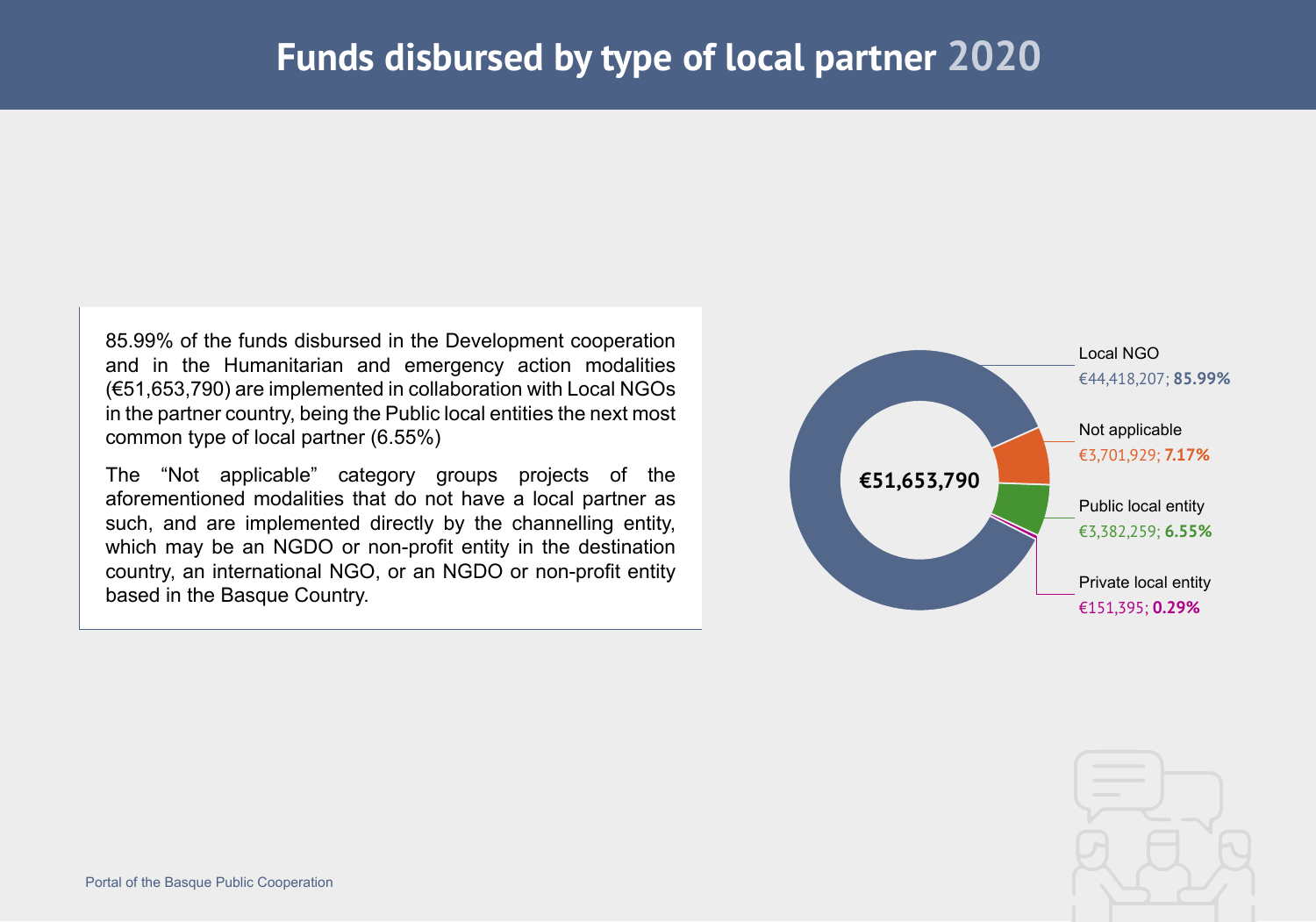85.99% of the funds disbursed in the Development cooperation and in the Humanitarian and emergency action modalities (€51,653,790) are implemented in collaboration with Local NGOs in the partner country, being the Public local entities the next most common type of local partner (6.55%)

The "Not applicable" category groups projects of the aforementioned modalities that do not have a local partner as such, and are implemented directly by the channelling entity, which may be an NGDO or non-profit entity in the destination country, an international NGO, or an NGDO or non-profit entity based in the Basque Country.

![](_page_10_Figure_3.jpeg)

![](_page_10_Picture_4.jpeg)